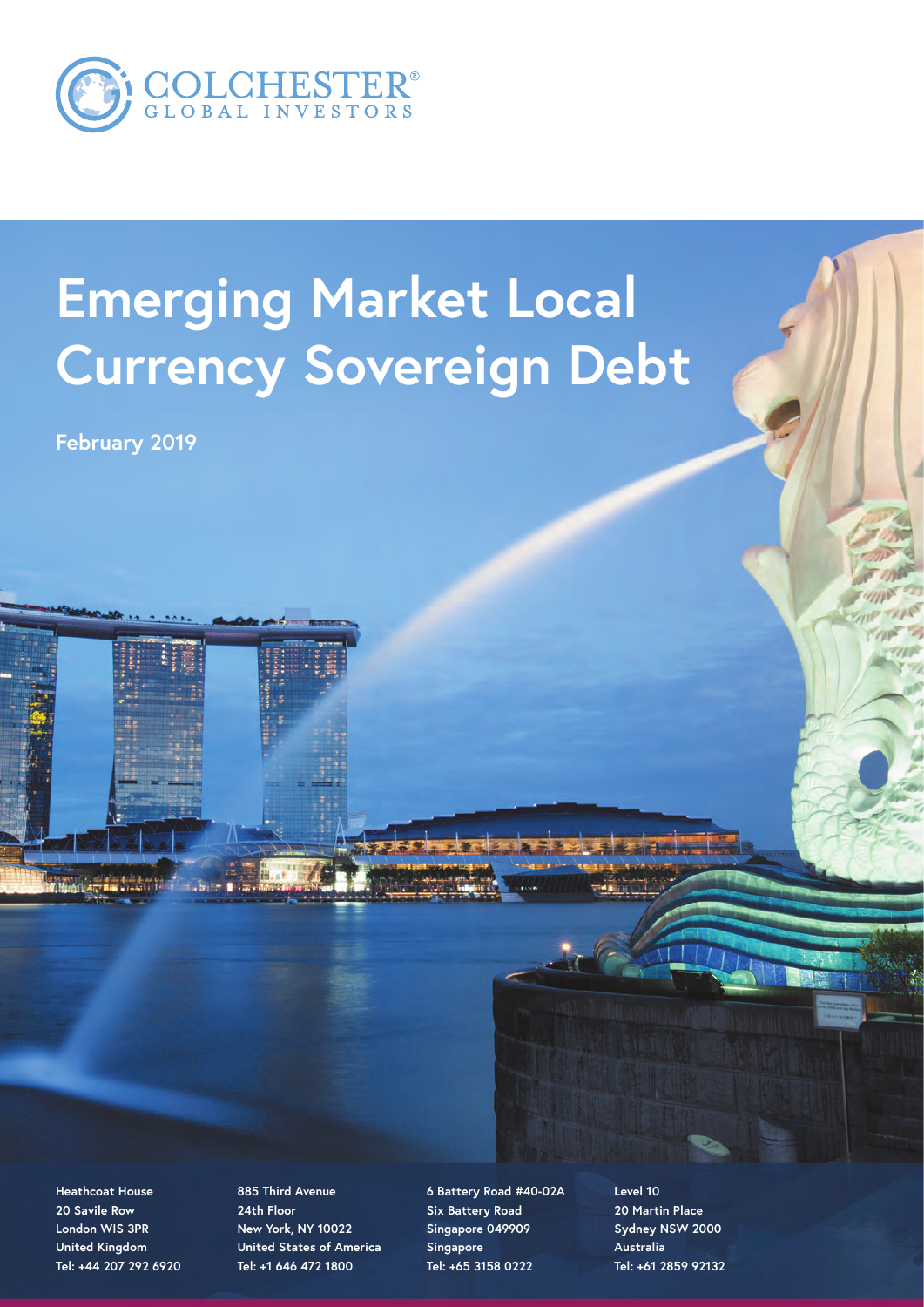

# **Emerging Market Local Currency Sovereign Debt**

**February 2019**

**Heathcoat House 20 Savile Row London WIS 3PR United Kingdom Tel: +44 207 292 6920**

**885 Third Avenue 24th Floor New York, NY 10022 United States of America Tel: +1 646 472 1800**

**6 Battery Road #40-02A Six Battery Road Singapore 049909 Singapore Tel: +65 3158 0222**

**Level 10 20 Martin Place Sydney NSW 2000 Australia Tel: +61 2859 92132**

 $\mathbf{r}$  and  $\mathbf{r}$  is the set of  $\mathbf{r}$  and  $\mathbf{r}$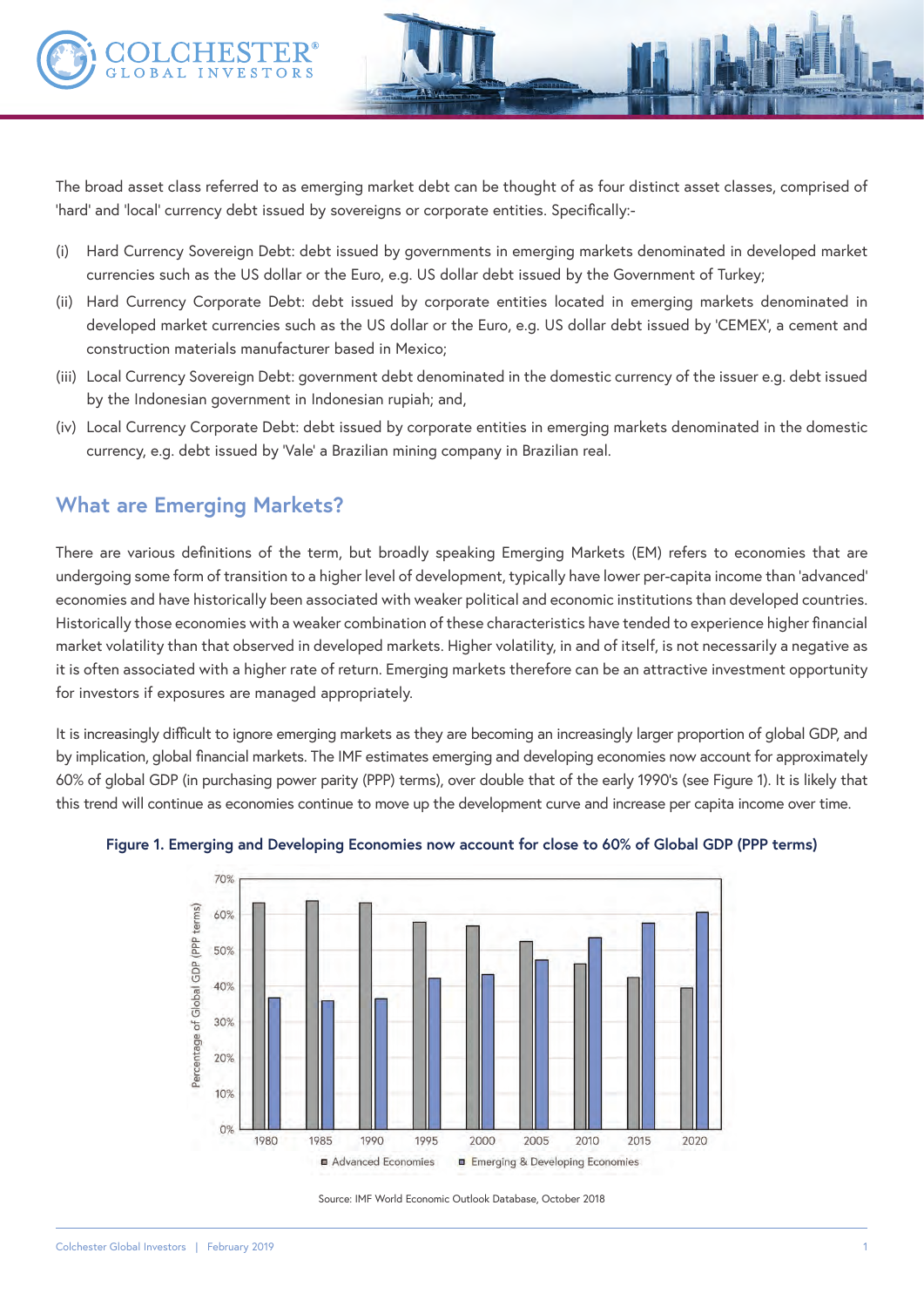

The broad asset class referred to as emerging market debt can be thought of as four distinct asset classes, comprised of 'hard' and 'local' currency debt issued by sovereigns or corporate entities. Specifically:-

- (i) Hard Currency Sovereign Debt: debt issued by governments in emerging markets denominated in developed market currencies such as the US dollar or the Euro, e.g. US dollar debt issued by the Government of Turkey;
- (ii) Hard Currency Corporate Debt: debt issued by corporate entities located in emerging markets denominated in developed market currencies such as the US dollar or the Euro, e.g. US dollar debt issued by 'CEMEX', a cement and construction materials manufacturer based in Mexico;
- (iii) Local Currency Sovereign Debt: government debt denominated in the domestic currency of the issuer e.g. debt issued by the Indonesian government in Indonesian rupiah; and,
- (iv) Local Currency Corporate Debt: debt issued by corporate entities in emerging markets denominated in the domestic currency, e.g. debt issued by 'Vale' a Brazilian mining company in Brazilian real.

## **What are Emerging Markets?**

There are various definitions of the term, but broadly speaking Emerging Markets (EM) refers to economies that are undergoing some form of transition to a higher level of development, typically have lower per-capita income than 'advanced' economies and have historically been associated with weaker political and economic institutions than developed countries. Historically those economies with a weaker combination of these characteristics have tended to experience higher financial market volatility than that observed in developed markets. Higher volatility, in and of itself, is not necessarily a negative as it is often associated with a higher rate of return. Emerging markets therefore can be an attractive investment opportunity for investors if exposures are managed appropriately.

It is increasingly difficult to ignore emerging markets as they are becoming an increasingly larger proportion of global GDP, and by implication, global financial markets. The IMF estimates emerging and developing economies now account for approximately 60% of global GDP (in purchasing power parity (PPP) terms), over double that of the early 1990's (see Figure 1). It is likely that this trend will continue as economies continue to move up the development curve and increase per capita income over time.



#### **Figure 1. Emerging and Developing Economies now account for close to 60% of Global GDP (PPP terms)**

Source: IMF World Economic Outlook Database, October 2018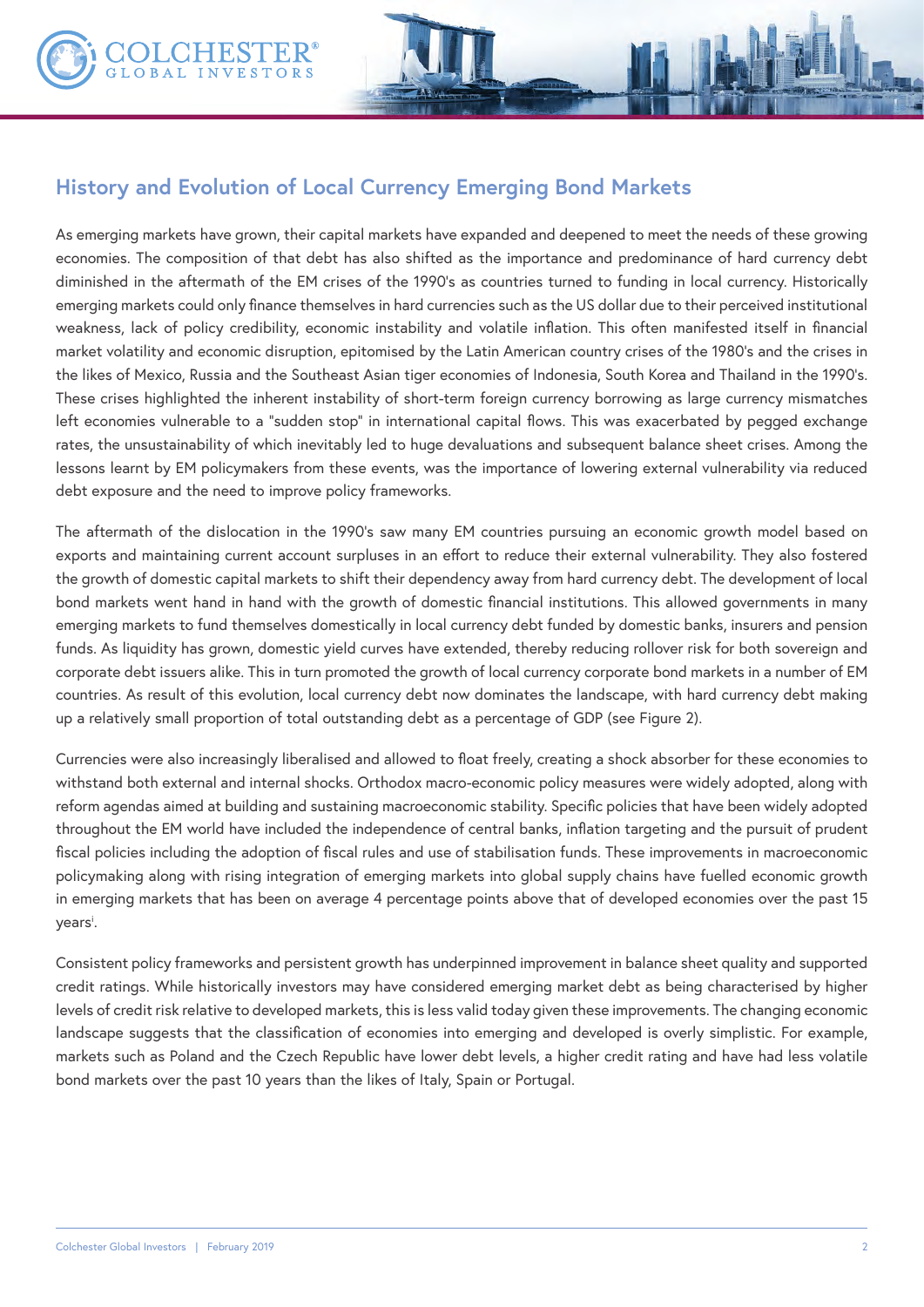

As emerging markets have grown, their capital markets have expanded and deepened to meet the needs of these growing economies. The composition of that debt has also shifted as the importance and predominance of hard currency debt diminished in the aftermath of the EM crises of the 1990's as countries turned to funding in local currency. Historically emerging markets could only finance themselves in hard currencies such as the US dollar due to their perceived institutional weakness, lack of policy credibility, economic instability and volatile inflation. This often manifested itself in financial market volatility and economic disruption, epitomised by the Latin American country crises of the 1980's and the crises in the likes of Mexico, Russia and the Southeast Asian tiger economies of Indonesia, South Korea and Thailand in the 1990's. These crises highlighted the inherent instability of short-term foreign currency borrowing as large currency mismatches left economies vulnerable to a "sudden stop" in international capital flows. This was exacerbated by pegged exchange rates, the unsustainability of which inevitably led to huge devaluations and subsequent balance sheet crises. Among the lessons learnt by EM policymakers from these events, was the importance of lowering external vulnerability via reduced debt exposure and the need to improve policy frameworks.

The aftermath of the dislocation in the 1990's saw many EM countries pursuing an economic growth model based on exports and maintaining current account surpluses in an effort to reduce their external vulnerability. They also fostered the growth of domestic capital markets to shift their dependency away from hard currency debt. The development of local bond markets went hand in hand with the growth of domestic financial institutions. This allowed governments in many emerging markets to fund themselves domestically in local currency debt funded by domestic banks, insurers and pension funds. As liquidity has grown, domestic yield curves have extended, thereby reducing rollover risk for both sovereign and corporate debt issuers alike. This in turn promoted the growth of local currency corporate bond markets in a number of EM countries. As result of this evolution, local currency debt now dominates the landscape, with hard currency debt making up a relatively small proportion of total outstanding debt as a percentage of GDP (see Figure 2).

Currencies were also increasingly liberalised and allowed to float freely, creating a shock absorber for these economies to withstand both external and internal shocks. Orthodox macro-economic policy measures were widely adopted, along with reform agendas aimed at building and sustaining macroeconomic stability. Specific policies that have been widely adopted throughout the EM world have included the independence of central banks, inflation targeting and the pursuit of prudent fiscal policies including the adoption of fiscal rules and use of stabilisation funds. These improvements in macroeconomic policymaking along with rising integration of emerging markets into global supply chains have fuelled economic growth in emerging markets that has been on average 4 percentage points above that of developed economies over the past 15 years<sup>i</sup>.

Consistent policy frameworks and persistent growth has underpinned improvement in balance sheet quality and supported credit ratings. While historically investors may have considered emerging market debt as being characterised by higher levels of credit risk relative to developed markets, this is less valid today given these improvements. The changing economic landscape suggests that the classification of economies into emerging and developed is overly simplistic. For example, markets such as Poland and the Czech Republic have lower debt levels, a higher credit rating and have had less volatile bond markets over the past 10 years than the likes of Italy, Spain or Portugal.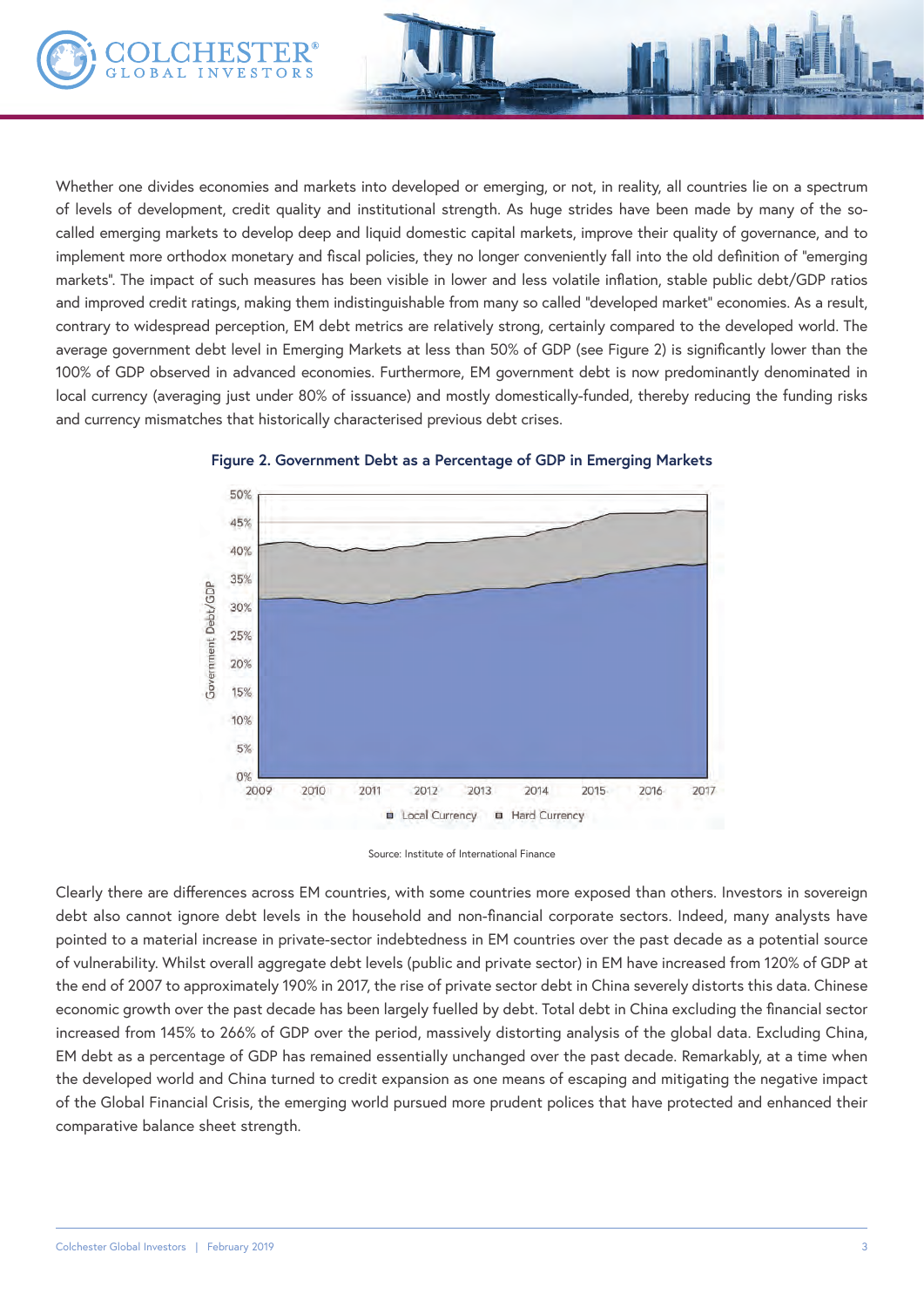Whether one divides economies and markets into developed or emerging, or not, in reality, all countries lie on a spectrum of levels of development, credit quality and institutional strength. As huge strides have been made by many of the socalled emerging markets to develop deep and liquid domestic capital markets, improve their quality of governance, and to implement more orthodox monetary and fiscal policies, they no longer conveniently fall into the old definition of "emerging markets". The impact of such measures has been visible in lower and less volatile inflation, stable public debt/GDP ratios and improved credit ratings, making them indistinguishable from many so called "developed market" economies. As a result, contrary to widespread perception, EM debt metrics are relatively strong, certainly compared to the developed world. The average government debt level in Emerging Markets at less than 50% of GDP (see Figure 2) is significantly lower than the 100% of GDP observed in advanced economies. Furthermore, EM government debt is now predominantly denominated in local currency (averaging just under 80% of issuance) and mostly domestically-funded, thereby reducing the funding risks and currency mismatches that historically characterised previous debt crises.





Clearly there are differences across EM countries, with some countries more exposed than others. Investors in sovereign debt also cannot ignore debt levels in the household and non-financial corporate sectors. Indeed, many analysts have pointed to a material increase in private-sector indebtedness in EM countries over the past decade as a potential source of vulnerability. Whilst overall aggregate debt levels (public and private sector) in EM have increased from 120% of GDP at the end of 2007 to approximately 190% in 2017, the rise of private sector debt in China severely distorts this data. Chinese economic growth over the past decade has been largely fuelled by debt. Total debt in China excluding the financial sector increased from 145% to 266% of GDP over the period, massively distorting analysis of the global data. Excluding China, EM debt as a percentage of GDP has remained essentially unchanged over the past decade. Remarkably, at a time when the developed world and China turned to credit expansion as one means of escaping and mitigating the negative impact of the Global Financial Crisis, the emerging world pursued more prudent polices that have protected and enhanced their comparative balance sheet strength.

Source: Institute of International Finance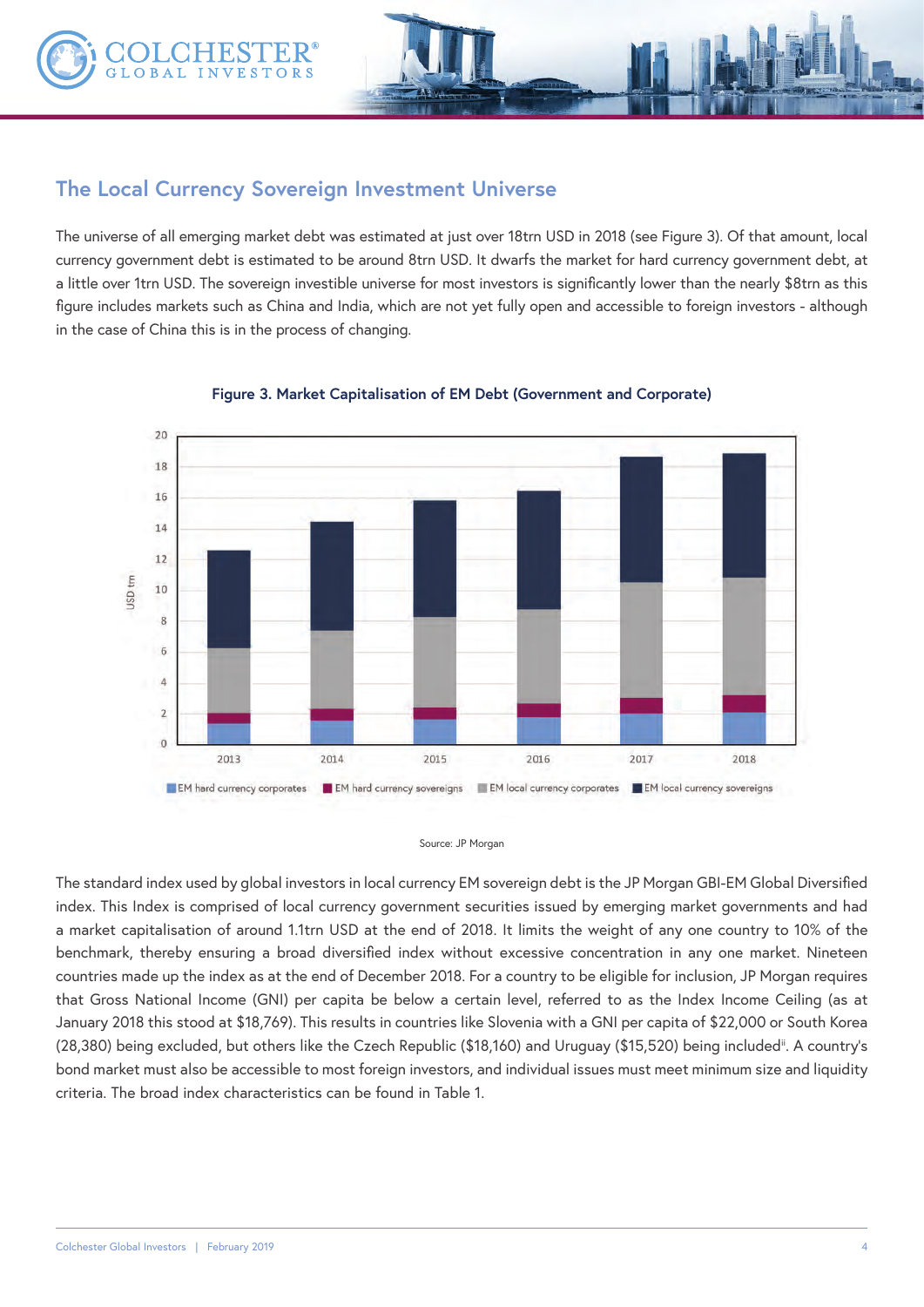

## **The Local Currency Sovereign Investment Universe**

The universe of all emerging market debt was estimated at just over 18trn USD in 2018 (see Figure 3). Of that amount, local currency government debt is estimated to be around 8trn USD. It dwarfs the market for hard currency government debt, at a little over 1trn USD. The sovereign investible universe for most investors is significantly lower than the nearly \$8trn as this figure includes markets such as China and India, which are not yet fully open and accessible to foreign investors - although in the case of China this is in the process of changing.



#### **Figure 3. Market Capitalisation of EM Debt (Government and Corporate)**

#### Source: JP Morgan

The standard index used by global investors in local currency EM sovereign debt is the JP Morgan GBI-EM Global Diversified index. This Index is comprised of local currency government securities issued by emerging market governments and had a market capitalisation of around 1.1trn USD at the end of 2018. It limits the weight of any one country to 10% of the benchmark, thereby ensuring a broad diversified index without excessive concentration in any one market. Nineteen countries made up the index as at the end of December 2018. For a country to be eligible for inclusion, JP Morgan requires that Gross National Income (GNI) per capita be below a certain level, referred to as the Index Income Ceiling (as at January 2018 this stood at \$18,769). This results in countries like Slovenia with a GNI per capita of \$22,000 or South Korea (28,380) being excluded, but others like the Czech Republic (\$18,160) and Uruguay (\$15,520) being includedii. A country's bond market must also be accessible to most foreign investors, and individual issues must meet minimum size and liquidity criteria. The broad index characteristics can be found in Table 1.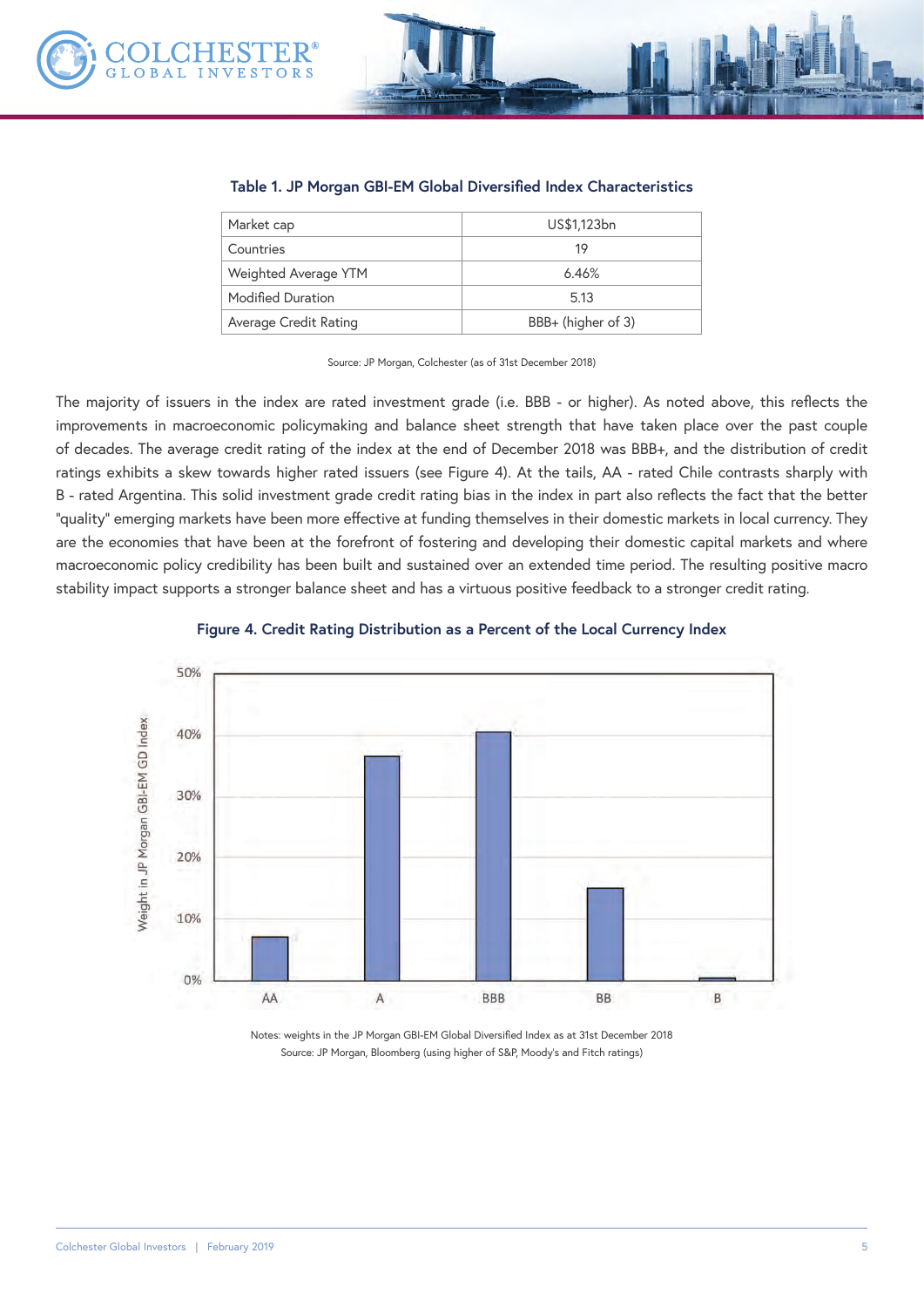

#### **Table 1. JP Morgan GBI-EM Global Diversified Index Characteristics**

| Market cap            | US\$1,123bn        |  |  |
|-----------------------|--------------------|--|--|
| Countries             | 19                 |  |  |
| Weighted Average YTM  | 6.46%              |  |  |
| Modified Duration     | 5.13               |  |  |
| Average Credit Rating | BBB+ (higher of 3) |  |  |

Source: JP Morgan, Colchester (as of 31st December 2018)

The majority of issuers in the index are rated investment grade (i.e. BBB - or higher). As noted above, this reflects the improvements in macroeconomic policymaking and balance sheet strength that have taken place over the past couple of decades. The average credit rating of the index at the end of December 2018 was BBB+, and the distribution of credit ratings exhibits a skew towards higher rated issuers (see Figure 4). At the tails, AA - rated Chile contrasts sharply with B - rated Argentina. This solid investment grade credit rating bias in the index in part also reflects the fact that the better "quality" emerging markets have been more effective at funding themselves in their domestic markets in local currency. They are the economies that have been at the forefront of fostering and developing their domestic capital markets and where macroeconomic policy credibility has been built and sustained over an extended time period. The resulting positive macro stability impact supports a stronger balance sheet and has a virtuous positive feedback to a stronger credit rating.



#### **Figure 4. Credit Rating Distribution as a Percent of the Local Currency Index**

Notes: weights in the JP Morgan GBI-EM Global Diversified Index as at 31st December 2018 Source: JP Morgan, Bloomberg (using higher of S&P, Moody's and Fitch ratings)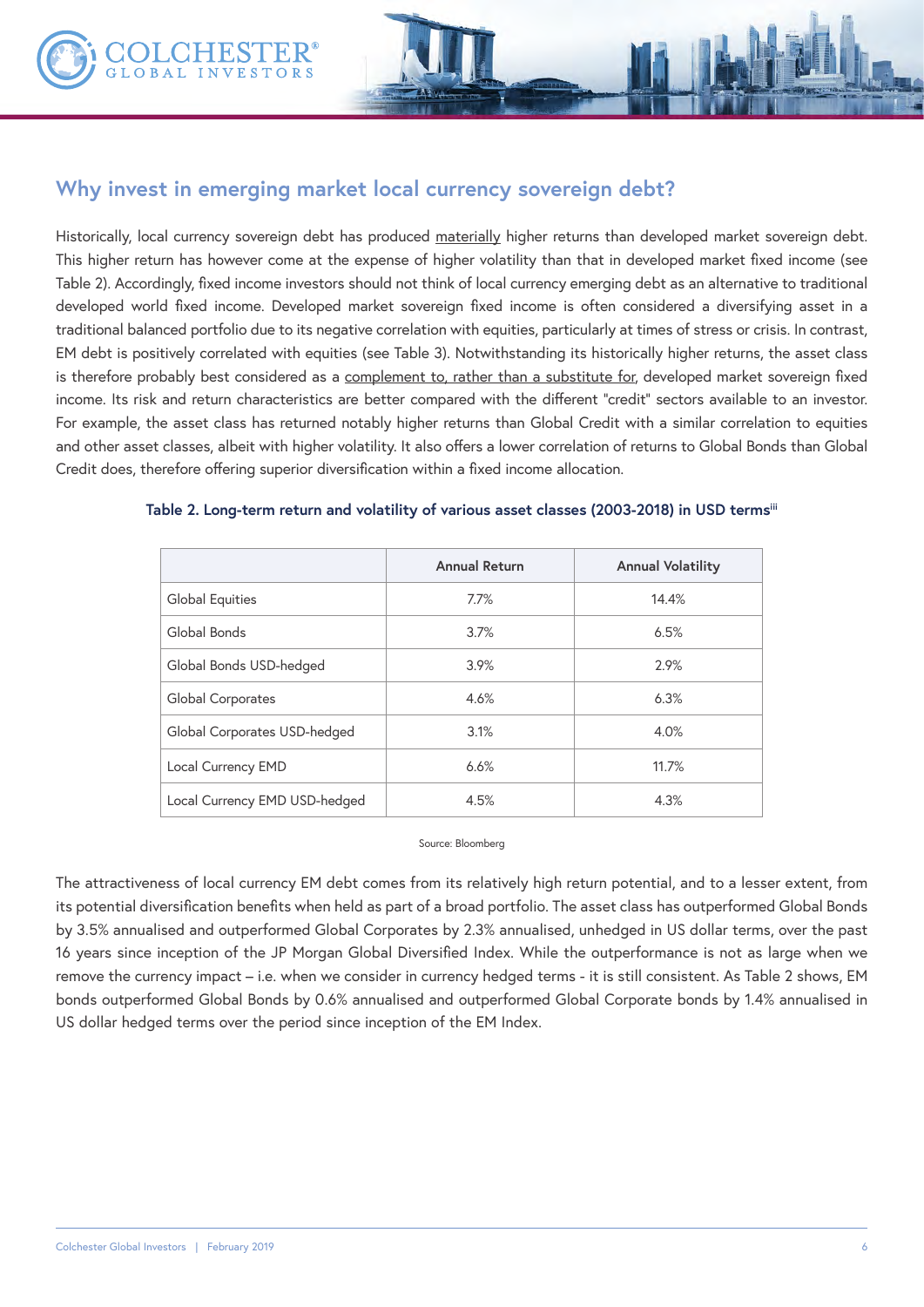

Historically, local currency sovereign debt has produced materially higher returns than developed market sovereign debt. This higher return has however come at the expense of higher volatility than that in developed market fixed income (see Table 2). Accordingly, fixed income investors should not think of local currency emerging debt as an alternative to traditional developed world fixed income. Developed market sovereign fixed income is often considered a diversifying asset in a traditional balanced portfolio due to its negative correlation with equities, particularly at times of stress or crisis. In contrast, EM debt is positively correlated with equities (see Table 3). Notwithstanding its historically higher returns, the asset class is therefore probably best considered as a complement to, rather than a substitute for, developed market sovereign fixed income. Its risk and return characteristics are better compared with the different "credit" sectors available to an investor. For example, the asset class has returned notably higher returns than Global Credit with a similar correlation to equities and other asset classes, albeit with higher volatility. It also offers a lower correlation of returns to Global Bonds than Global Credit does, therefore offering superior diversification within a fixed income allocation.

|                               | <b>Annual Return</b> | <b>Annual Volatility</b> |
|-------------------------------|----------------------|--------------------------|
| <b>Global Equities</b>        | 7.7%                 | 14.4%                    |
| Global Bonds                  | 3.7%                 | 6.5%                     |
| Global Bonds USD-hedged       | 3.9%                 | 2.9%                     |
| Global Corporates             | 4.6%                 | 6.3%                     |
| Global Corporates USD-hedged  | 3.1%                 | 4.0%                     |
| Local Currency EMD            | 6.6%                 | 11.7%                    |
| Local Currency EMD USD-hedged | 4.5%                 | 4.3%                     |

#### **Table 2. Long-term return and volatility of various asset classes (2003-2018) in USD termsiii**

#### Source: Bloomberg

The attractiveness of local currency EM debt comes from its relatively high return potential, and to a lesser extent, from its potential diversification benefits when held as part of a broad portfolio. The asset class has outperformed Global Bonds by 3.5% annualised and outperformed Global Corporates by 2.3% annualised, unhedged in US dollar terms, over the past 16 years since inception of the JP Morgan Global Diversified Index. While the outperformance is not as large when we remove the currency impact – i.e. when we consider in currency hedged terms - it is still consistent. As Table 2 shows, EM bonds outperformed Global Bonds by 0.6% annualised and outperformed Global Corporate bonds by 1.4% annualised in US dollar hedged terms over the period since inception of the EM Index.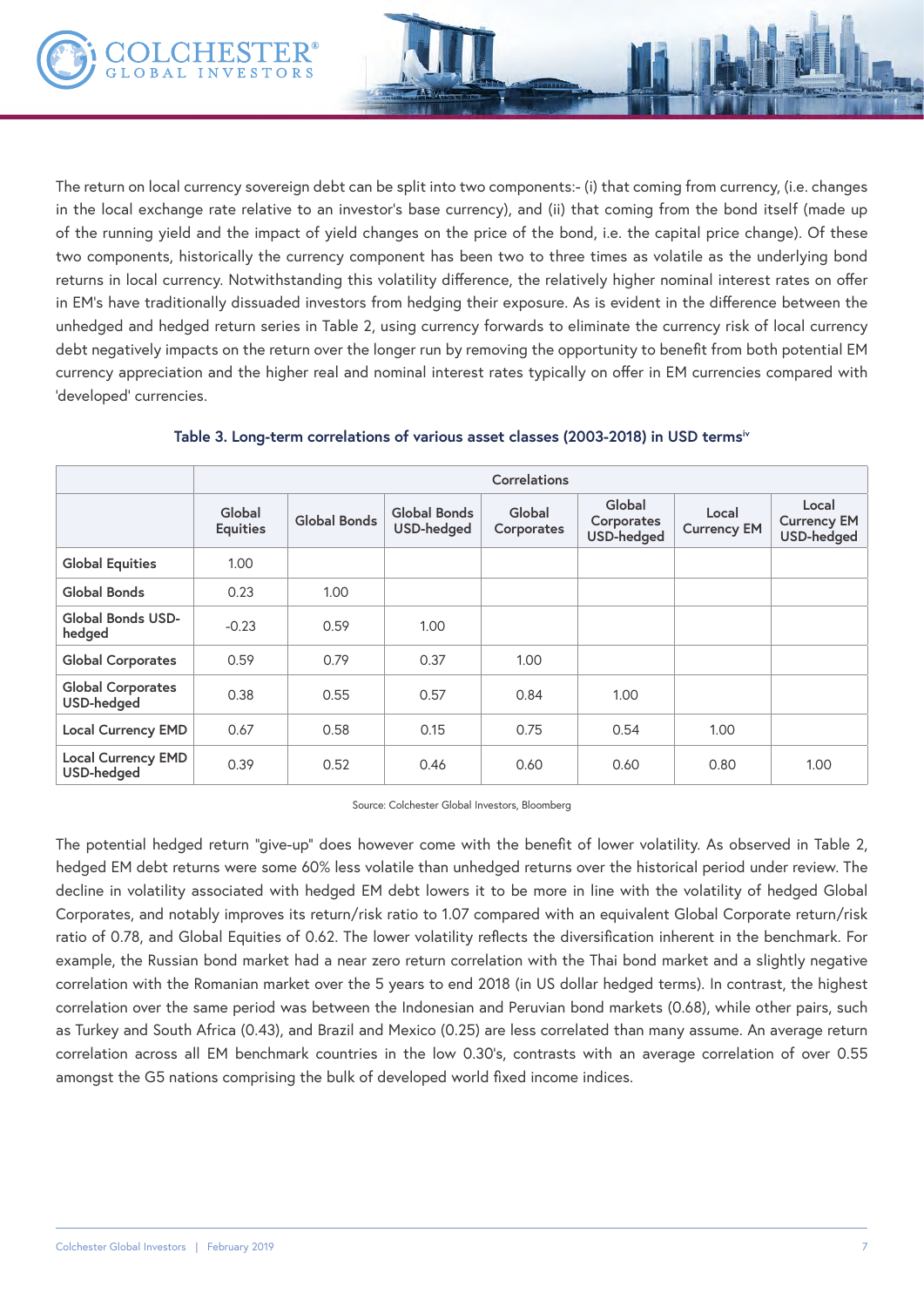The return on local currency sovereign debt can be split into two components:- (i) that coming from currency, (i.e. changes in the local exchange rate relative to an investor's base currency), and (ii) that coming from the bond itself (made up of the running yield and the impact of yield changes on the price of the bond, i.e. the capital price change). Of these two components, historically the currency component has been two to three times as volatile as the underlying bond returns in local currency. Notwithstanding this volatility difference, the relatively higher nominal interest rates on offer in EM's have traditionally dissuaded investors from hedging their exposure. As is evident in the difference between the unhedged and hedged return series in Table 2, using currency forwards to eliminate the currency risk of local currency debt negatively impacts on the return over the longer run by removing the opportunity to benefit from both potential EM currency appreciation and the higher real and nominal interest rates typically on offer in EM currencies compared with 'developed' currencies.

|                                         | Correlations              |              |                            |                      |                                           |                             |                                                  |  |
|-----------------------------------------|---------------------------|--------------|----------------------------|----------------------|-------------------------------------------|-----------------------------|--------------------------------------------------|--|
|                                         | Global<br><b>Equities</b> | Global Bonds | Global Bonds<br>USD-hedged | Global<br>Corporates | Global<br>Corporates<br><b>USD-hedged</b> | Local<br><b>Currency EM</b> | Local<br><b>Currency EM</b><br><b>USD-hedged</b> |  |
| <b>Global Equities</b>                  | 1.00                      |              |                            |                      |                                           |                             |                                                  |  |
| Global Bonds                            | 0.23                      | 1.00         |                            |                      |                                           |                             |                                                  |  |
| Global Bonds USD-<br>hedged             | $-0.23$                   | 0.59         | 1.00                       |                      |                                           |                             |                                                  |  |
| <b>Global Corporates</b>                | 0.59                      | 0.79         | 0.37                       | 1.00                 |                                           |                             |                                                  |  |
| <b>Global Corporates</b><br>USD-hedged  | 0.38                      | 0.55         | 0.57                       | 0.84                 | 1.00                                      |                             |                                                  |  |
| <b>Local Currency EMD</b>               | 0.67                      | 0.58         | 0.15                       | 0.75                 | 0.54                                      | 1.00                        |                                                  |  |
| <b>Local Currency EMD</b><br>USD-hedged | 0.39                      | 0.52         | 0.46                       | 0.60                 | 0.60                                      | 0.80                        | 1.00                                             |  |

**Table 3. Long-term correlations of various asset classes (2003-2018) in USD termsiv**

Source: Colchester Global Investors, Bloomberg

The potential hedged return "give-up" does however come with the benefit of lower volatility. As observed in Table 2, hedged EM debt returns were some 60% less volatile than unhedged returns over the historical period under review. The decline in volatility associated with hedged EM debt lowers it to be more in line with the volatility of hedged Global Corporates, and notably improves its return/risk ratio to 1.07 compared with an equivalent Global Corporate return/risk ratio of 0.78, and Global Equities of 0.62. The lower volatility reflects the diversification inherent in the benchmark. For example, the Russian bond market had a near zero return correlation with the Thai bond market and a slightly negative correlation with the Romanian market over the 5 years to end 2018 (in US dollar hedged terms). In contrast, the highest correlation over the same period was between the Indonesian and Peruvian bond markets (0.68), while other pairs, such as Turkey and South Africa (0.43), and Brazil and Mexico (0.25) are less correlated than many assume. An average return correlation across all EM benchmark countries in the low 0.30's, contrasts with an average correlation of over 0.55 amongst the G5 nations comprising the bulk of developed world fixed income indices.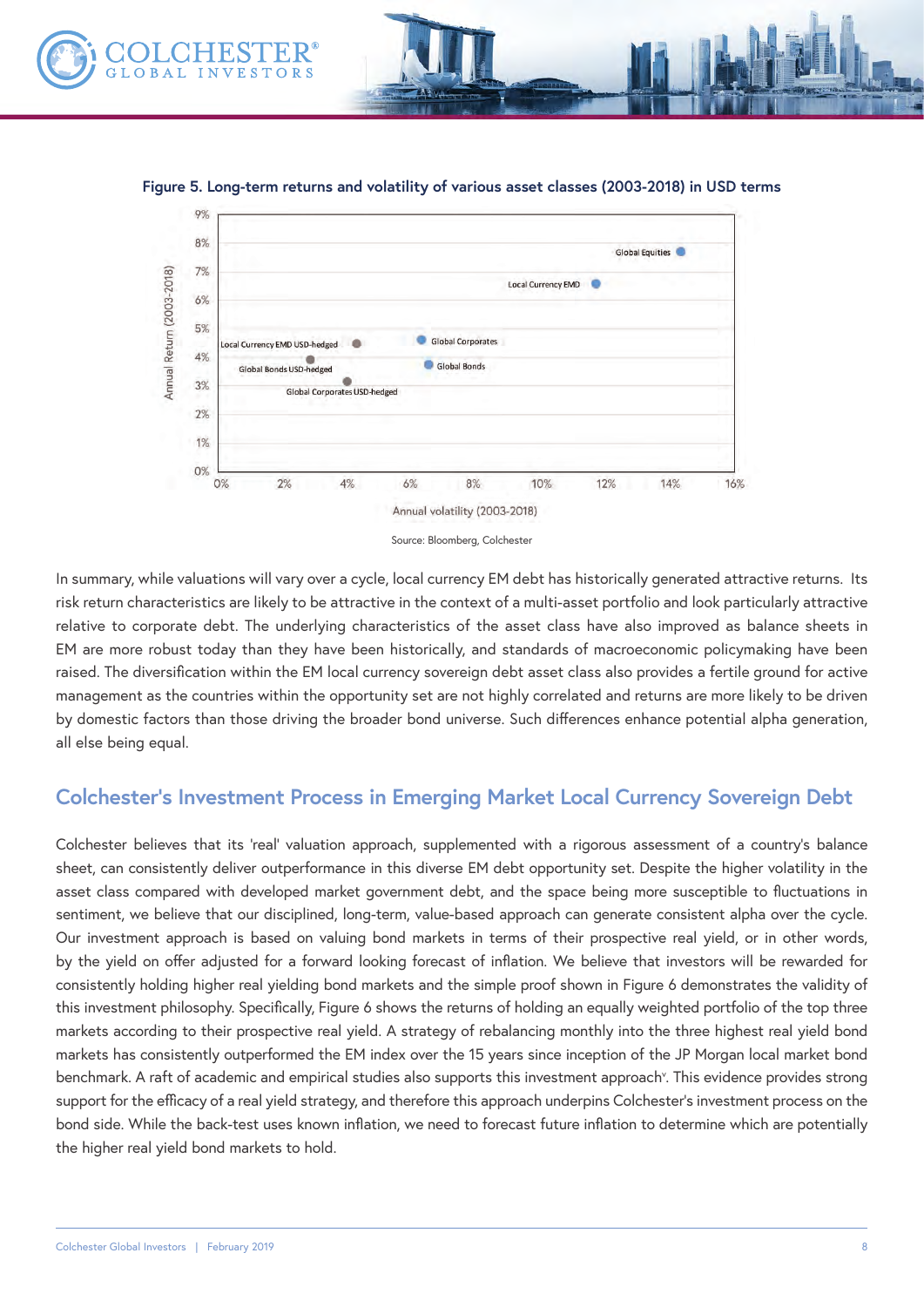

**Figure 5. Long-term returns and volatility of various asset classes (2003-2018) in USD terms** 



In summary, while valuations will vary over a cycle, local currency EM debt has historically generated attractive returns. Its risk return characteristics are likely to be attractive in the context of a multi-asset portfolio and look particularly attractive relative to corporate debt. The underlying characteristics of the asset class have also improved as balance sheets in EM are more robust today than they have been historically, and standards of macroeconomic policymaking have been raised. The diversification within the EM local currency sovereign debt asset class also provides a fertile ground for active management as the countries within the opportunity set are not highly correlated and returns are more likely to be driven by domestic factors than those driving the broader bond universe. Such differences enhance potential alpha generation, all else being equal.

## **Colchester's Investment Process in Emerging Market Local Currency Sovereign Debt**

Colchester believes that its 'real' valuation approach, supplemented with a rigorous assessment of a country's balance sheet, can consistently deliver outperformance in this diverse EM debt opportunity set. Despite the higher volatility in the asset class compared with developed market government debt, and the space being more susceptible to fluctuations in sentiment, we believe that our disciplined, long-term, value-based approach can generate consistent alpha over the cycle. Our investment approach is based on valuing bond markets in terms of their prospective real yield, or in other words, by the yield on offer adjusted for a forward looking forecast of inflation. We believe that investors will be rewarded for consistently holding higher real yielding bond markets and the simple proof shown in Figure 6 demonstrates the validity of this investment philosophy. Specifically, Figure 6 shows the returns of holding an equally weighted portfolio of the top three markets according to their prospective real yield. A strategy of rebalancing monthly into the three highest real yield bond markets has consistently outperformed the EM index over the 15 years since inception of the JP Morgan local market bond benchmark. A raft of academic and empirical studies also supports this investment approach<sup>y</sup>. This evidence provides strong support for the efficacy of a real yield strategy, and therefore this approach underpins Colchester's investment process on the bond side. While the back-test uses known inflation, we need to forecast future inflation to determine which are potentially the higher real yield bond markets to hold.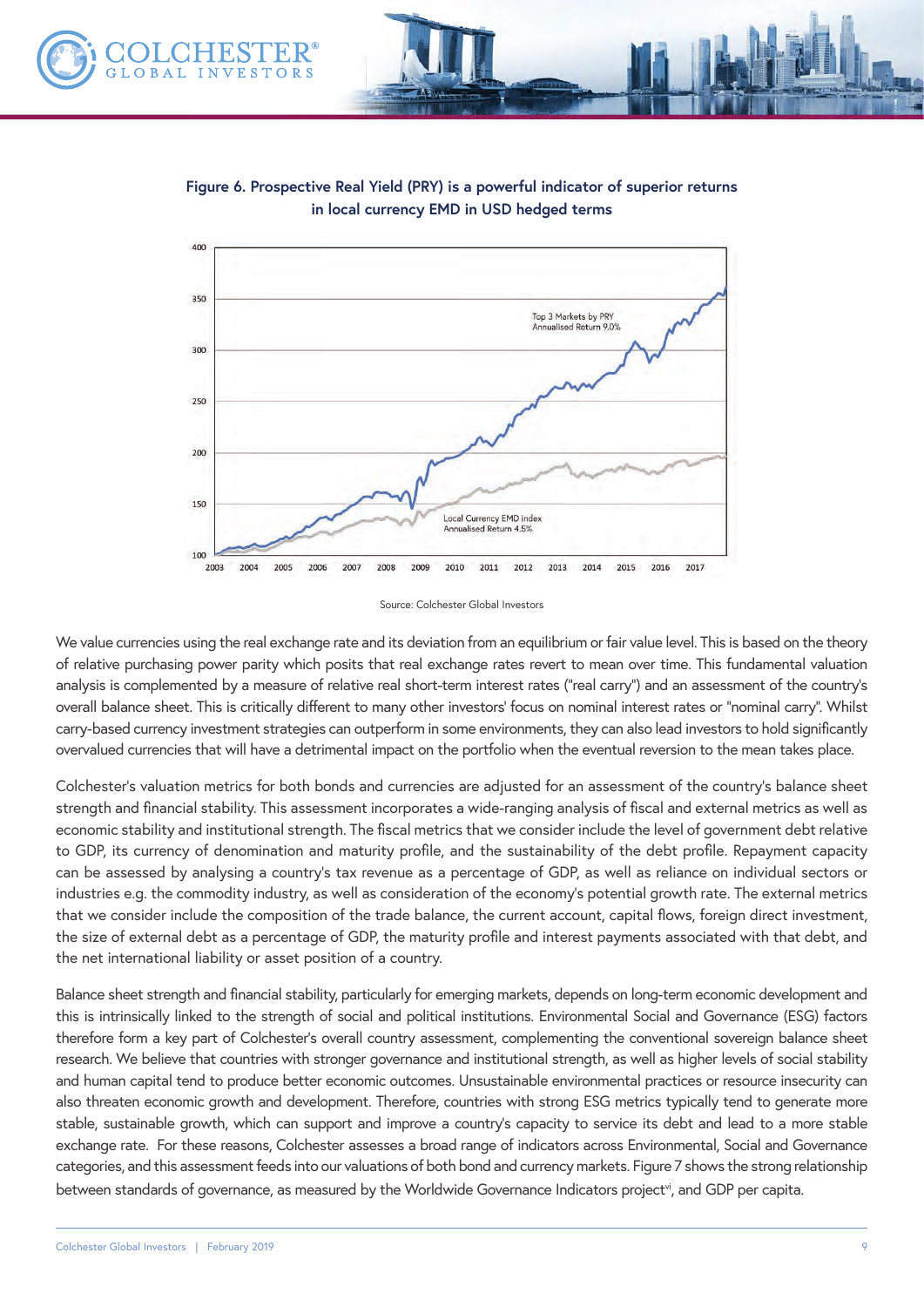



**Figure 6. Prospective Real Yield (PRY) is a powerful indicator of superior returns in local currency EMD in USD hedged terms**

Source: Colchester Global Investors

We value currencies using the real exchange rate and its deviation from an equilibrium or fair value level. This is based on the theory of relative purchasing power parity which posits that real exchange rates revert to mean over time. This fundamental valuation analysis is complemented by a measure of relative real short-term interest rates ("real carry") and an assessment of the country's overall balance sheet. This is critically different to many other investors' focus on nominal interest rates or "nominal carry". Whilst carry-based currency investment strategies can outperform in some environments, they can also lead investors to hold significantly overvalued currencies that will have a detrimental impact on the portfolio when the eventual reversion to the mean takes place.

Colchester's valuation metrics for both bonds and currencies are adjusted for an assessment of the country's balance sheet strength and financial stability. This assessment incorporates a wide-ranging analysis of fiscal and external metrics as well as economic stability and institutional strength. The fiscal metrics that we consider include the level of government debt relative to GDP, its currency of denomination and maturity profile, and the sustainability of the debt profile. Repayment capacity can be assessed by analysing a country's tax revenue as a percentage of GDP, as well as reliance on individual sectors or industries e.g. the commodity industry, as well as consideration of the economy's potential growth rate. The external metrics that we consider include the composition of the trade balance, the current account, capital flows, foreign direct investment, the size of external debt as a percentage of GDP, the maturity profile and interest payments associated with that debt, and the net international liability or asset position of a country.

Balance sheet strength and financial stability, particularly for emerging markets, depends on long-term economic development and this is intrinsically linked to the strength of social and political institutions. Environmental Social and Governance (ESG) factors therefore form a key part of Colchester's overall country assessment, complementing the conventional sovereign balance sheet research. We believe that countries with stronger governance and institutional strength, as well as higher levels of social stability and human capital tend to produce better economic outcomes. Unsustainable environmental practices or resource insecurity can also threaten economic growth and development. Therefore, countries with strong ESG metrics typically tend to generate more stable, sustainable growth, which can support and improve a country's capacity to service its debt and lead to a more stable exchange rate. For these reasons, Colchester assesses a broad range of indicators across Environmental, Social and Governance categories, and this assessment feeds into our valuations of both bond and currency markets. Figure 7 shows the strong relationship between standards of governance, as measured by the Worldwide Governance Indicators project<sup>vi</sup>, and GDP per capita.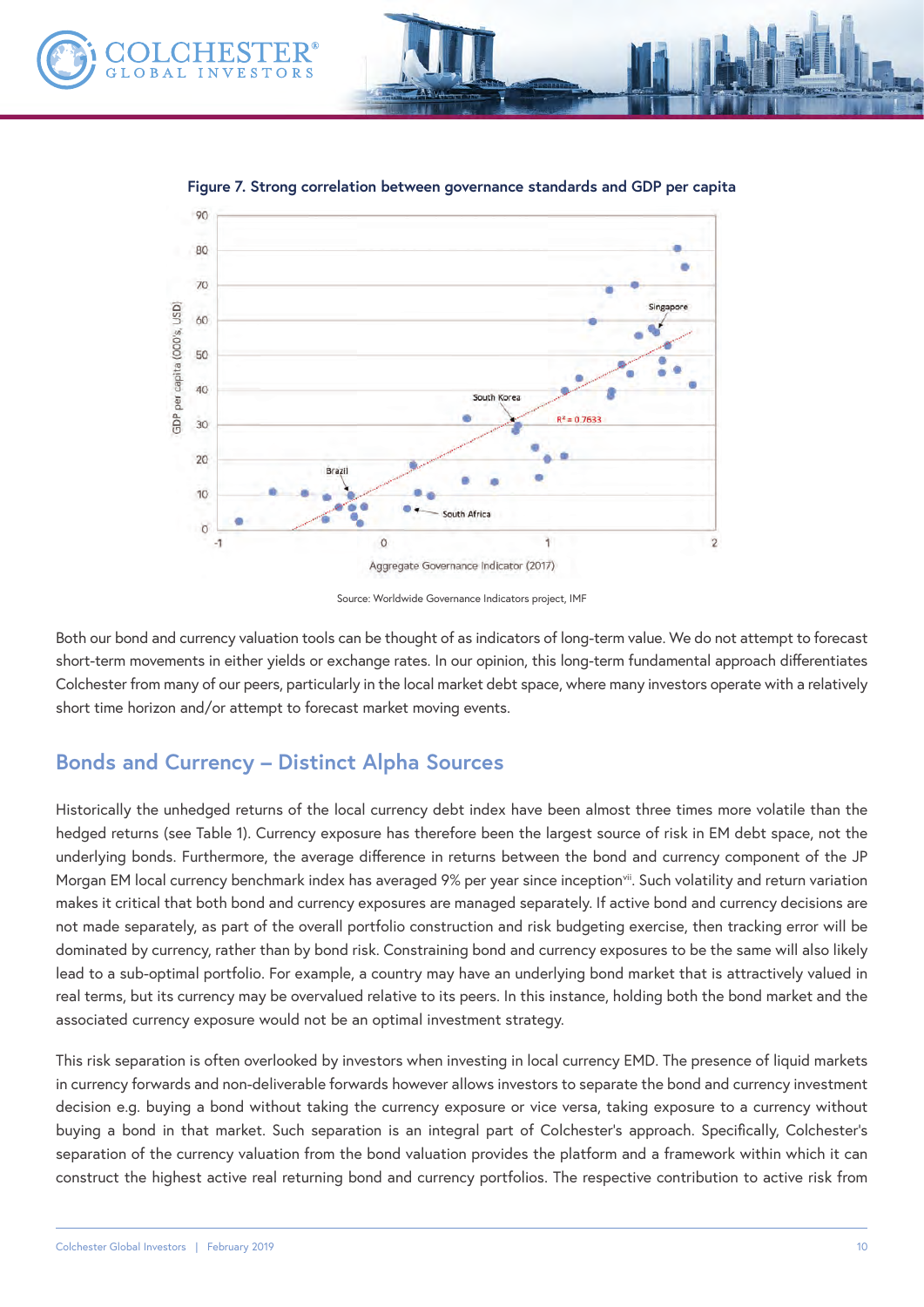



**Figure 7. Strong correlation between governance standards and GDP per capita**

Source: Worldwide Governance Indicators project, IMF

Both our bond and currency valuation tools can be thought of as indicators of long-term value. We do not attempt to forecast short-term movements in either yields or exchange rates. In our opinion, this long-term fundamental approach differentiates Colchester from many of our peers, particularly in the local market debt space, where many investors operate with a relatively short time horizon and/or attempt to forecast market moving events.

## **Bonds and Currency – Distinct Alpha Sources**

Historically the unhedged returns of the local currency debt index have been almost three times more volatile than the hedged returns (see Table 1). Currency exposure has therefore been the largest source of risk in EM debt space, not the underlying bonds. Furthermore, the average difference in returns between the bond and currency component of the JP Morgan EM local currency benchmark index has averaged 9% per year since inception<sup>vii</sup>. Such volatility and return variation makes it critical that both bond and currency exposures are managed separately. If active bond and currency decisions are not made separately, as part of the overall portfolio construction and risk budgeting exercise, then tracking error will be dominated by currency, rather than by bond risk. Constraining bond and currency exposures to be the same will also likely lead to a sub-optimal portfolio. For example, a country may have an underlying bond market that is attractively valued in real terms, but its currency may be overvalued relative to its peers. In this instance, holding both the bond market and the associated currency exposure would not be an optimal investment strategy.

This risk separation is often overlooked by investors when investing in local currency EMD. The presence of liquid markets in currency forwards and non-deliverable forwards however allows investors to separate the bond and currency investment decision e.g. buying a bond without taking the currency exposure or vice versa, taking exposure to a currency without buying a bond in that market. Such separation is an integral part of Colchester's approach. Specifically, Colchester's separation of the currency valuation from the bond valuation provides the platform and a framework within which it can construct the highest active real returning bond and currency portfolios. The respective contribution to active risk from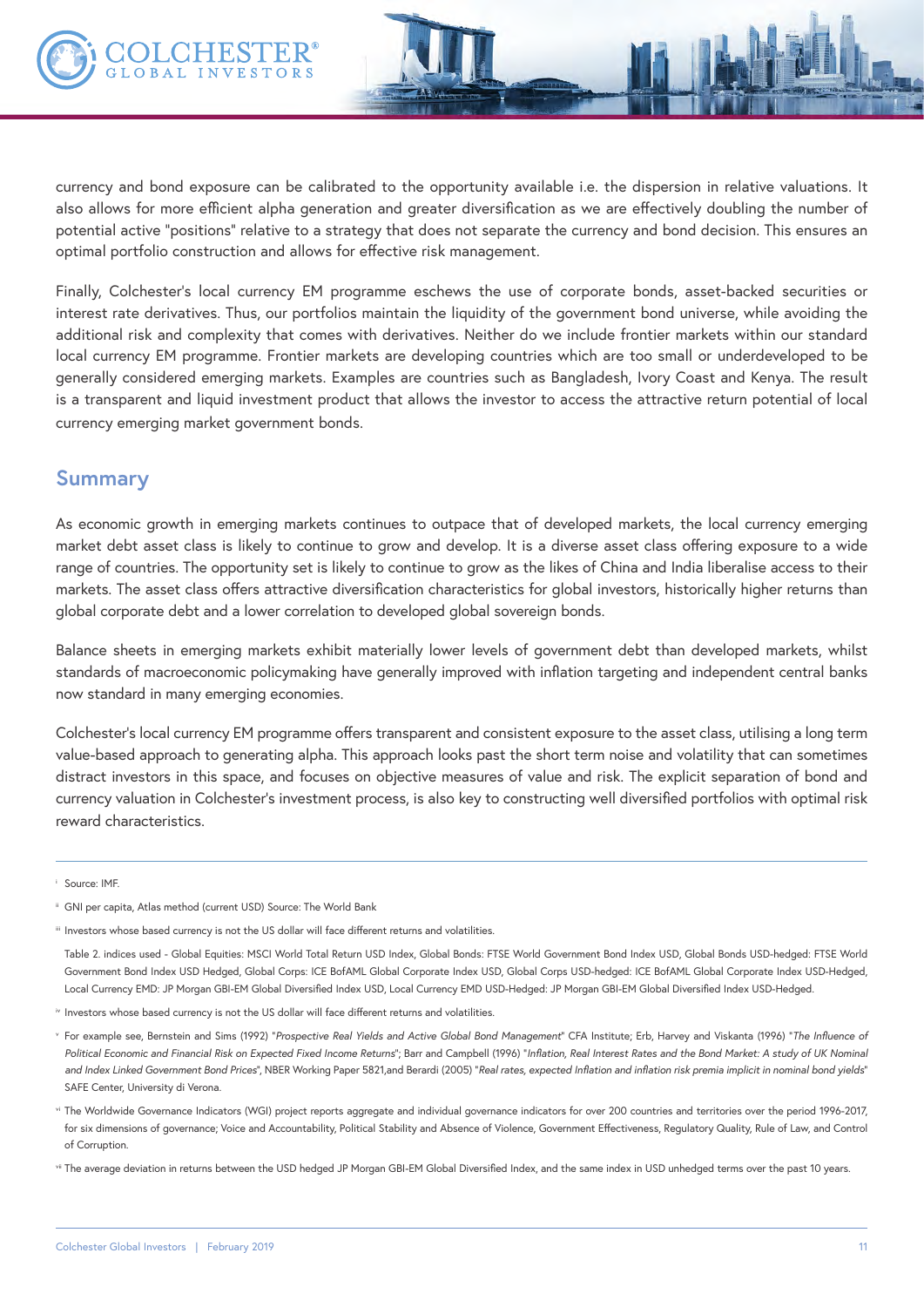

currency and bond exposure can be calibrated to the opportunity available i.e. the dispersion in relative valuations. It also allows for more efficient alpha generation and greater diversification as we are effectively doubling the number of potential active "positions" relative to a strategy that does not separate the currency and bond decision. This ensures an optimal portfolio construction and allows for effective risk management.

Finally, Colchester's local currency EM programme eschews the use of corporate bonds, asset-backed securities or interest rate derivatives. Thus, our portfolios maintain the liquidity of the government bond universe, while avoiding the additional risk and complexity that comes with derivatives. Neither do we include frontier markets within our standard local currency EM programme. Frontier markets are developing countries which are too small or underdeveloped to be generally considered emerging markets. Examples are countries such as Bangladesh, Ivory Coast and Kenya. The result is a transparent and liquid investment product that allows the investor to access the attractive return potential of local currency emerging market government bonds.

### **Summary**

As economic growth in emerging markets continues to outpace that of developed markets, the local currency emerging market debt asset class is likely to continue to grow and develop. It is a diverse asset class offering exposure to a wide range of countries. The opportunity set is likely to continue to grow as the likes of China and India liberalise access to their markets. The asset class offers attractive diversification characteristics for global investors, historically higher returns than global corporate debt and a lower correlation to developed global sovereign bonds.

Balance sheets in emerging markets exhibit materially lower levels of government debt than developed markets, whilst standards of macroeconomic policymaking have generally improved with inflation targeting and independent central banks now standard in many emerging economies.

Colchester's local currency EM programme offers transparent and consistent exposure to the asset class, utilising a long term value-based approach to generating alpha. This approach looks past the short term noise and volatility that can sometimes distract investors in this space, and focuses on objective measures of value and risk. The explicit separation of bond and currency valuation in Colchester's investment process, is also key to constructing well diversified portfolios with optimal risk reward characteristics.

<sup>i</sup> Source: IMF.

- ii GNI per capita, Atlas method (current USD) Source: The World Bank
- iii Investors whose based currency is not the US dollar will face different returns and volatilities.

Table 2. indices used - Global Equities: MSCI World Total Return USD Index, Global Bonds: FTSE World Government Bond Index USD, Global Bonds USD-hedged: FTSE World Government Bond Index USD Hedged, Global Corps: ICE BofAML Global Corporate Index USD, Global Corps USD-hedged: ICE BofAML Global Corporate Index USD-Hedged, Local Currency EMD: JP Morgan GBI-EM Global Diversified Index USD, Local Currency EMD USD-Hedged: JP Morgan GBI-EM Global Diversified Index USD-Hedged.

- iv Investors whose based currency is not the US dollar will face different returns and volatilities.
- v For example see, Bernstein and Sims (1992) "*Prospective Real Yields and Active Global Bond Management*" CFA Institute; Erb, Harvey and Viskanta (1996) "*The Influence of Political Economic and Financial Risk on Expected Fixed Income Returns*"; Barr and Campbell (1996) "*Inflation, Real Interest Rates and the Bond Market: A study of UK Nominal and Index Linked Government Bond Prices*", NBER Working Paper 5821,and Berardi (2005) "*Real rates, expected Inflation and inflation risk premia implicit in nominal bond yields*" SAFE Center, University di Verona.
- vi The Worldwide Governance Indicators (WGI) project reports aggregate and individual governance indicators for over 200 countries and territories over the period 1996-2017, for six dimensions of governance; Voice and Accountability, Political Stability and Absence of Violence, Government Effectiveness, Regulatory Quality, Rule of Law, and Control of Corruption.
- vii The average deviation in returns between the USD hedged JP Morgan GBI-EM Global Diversified Index, and the same index in USD unhedged terms over the past 10 years.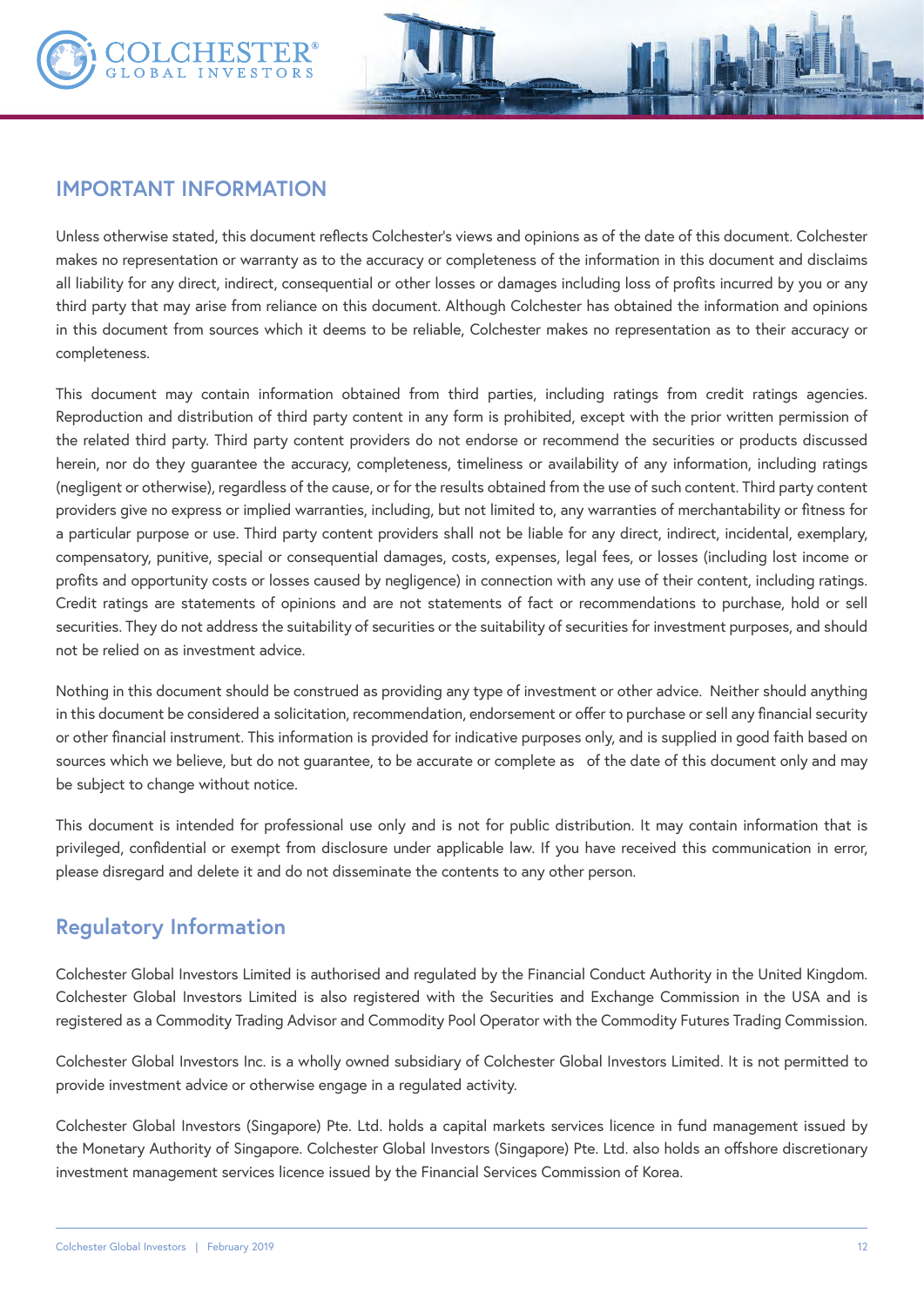

## **IMPORTANT INFORMATION**

Unless otherwise stated, this document reflects Colchester's views and opinions as of the date of this document. Colchester makes no representation or warranty as to the accuracy or completeness of the information in this document and disclaims all liability for any direct, indirect, consequential or other losses or damages including loss of profits incurred by you or any third party that may arise from reliance on this document. Although Colchester has obtained the information and opinions in this document from sources which it deems to be reliable, Colchester makes no representation as to their accuracy or completeness.

This document may contain information obtained from third parties, including ratings from credit ratings agencies. Reproduction and distribution of third party content in any form is prohibited, except with the prior written permission of the related third party. Third party content providers do not endorse or recommend the securities or products discussed herein, nor do they guarantee the accuracy, completeness, timeliness or availability of any information, including ratings (negligent or otherwise), regardless of the cause, or for the results obtained from the use of such content. Third party content providers give no express or implied warranties, including, but not limited to, any warranties of merchantability or fitness for a particular purpose or use. Third party content providers shall not be liable for any direct, indirect, incidental, exemplary, compensatory, punitive, special or consequential damages, costs, expenses, legal fees, or losses (including lost income or profits and opportunity costs or losses caused by negligence) in connection with any use of their content, including ratings. Credit ratings are statements of opinions and are not statements of fact or recommendations to purchase, hold or sell securities. They do not address the suitability of securities or the suitability of securities for investment purposes, and should not be relied on as investment advice.

Nothing in this document should be construed as providing any type of investment or other advice. Neither should anything in this document be considered a solicitation, recommendation, endorsement or offer to purchase or sell any financial security or other financial instrument. This information is provided for indicative purposes only, and is supplied in good faith based on sources which we believe, but do not guarantee, to be accurate or complete as of the date of this document only and may be subject to change without notice.

This document is intended for professional use only and is not for public distribution. It may contain information that is privileged, confidential or exempt from disclosure under applicable law. If you have received this communication in error, please disregard and delete it and do not disseminate the contents to any other person.

## **Regulatory Information**

Colchester Global Investors Limited is authorised and regulated by the Financial Conduct Authority in the United Kingdom. Colchester Global Investors Limited is also registered with the Securities and Exchange Commission in the USA and is registered as a Commodity Trading Advisor and Commodity Pool Operator with the Commodity Futures Trading Commission.

Colchester Global Investors Inc. is a wholly owned subsidiary of Colchester Global Investors Limited. It is not permitted to provide investment advice or otherwise engage in a regulated activity.

Colchester Global Investors (Singapore) Pte. Ltd. holds a capital markets services licence in fund management issued by the Monetary Authority of Singapore. Colchester Global Investors (Singapore) Pte. Ltd. also holds an offshore discretionary investment management services licence issued by the Financial Services Commission of Korea.